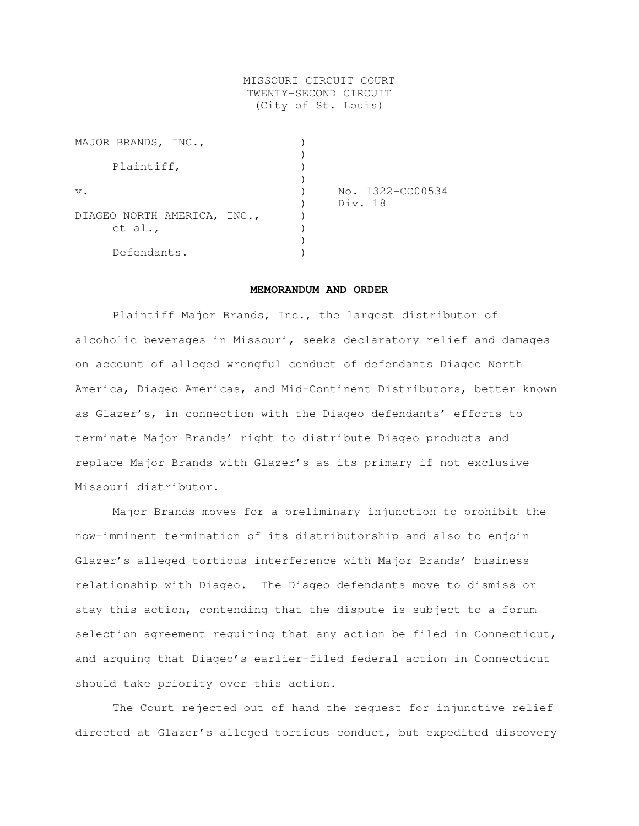# MISSOURI CIRCUIT COURT TWENTY-SECOND CIRCUIT (City of St. Louis)

| MAJOR BRANDS, INC.,         |                  |
|-----------------------------|------------------|
|                             |                  |
| Plaintiff,                  |                  |
|                             |                  |
| $V$ .                       | No. 1322-CC00534 |
|                             | Div. 18          |
| DIAGEO NORTH AMERICA, INC., |                  |
| et al.,                     |                  |
|                             |                  |
| Defendants.                 |                  |

## **MEMORANDUM AND ORDER**

Plaintiff Major Brands, Inc., the largest distributor of alcoholic beverages in Missouri, seeks declaratory relief and damages on account of alleged wrongful conduct of defendants Diageo North America, Diageo Americas, and Mid-Continent Distributors, better known as Glazer's, in connection with the Diageo defendants' efforts to terminate Major Brands' right to distribute Diageo products and replace Major Brands with Glazer's as its primary if not exclusive Missouri distributor.

Major Brands moves for a preliminary injunction to prohibit the now-imminent termination of its distributorship and also to enjoin Glazer's alleged tortious interference with Major Brands' business relationship with Diageo. The Diageo defendants move to dismiss or stay this action, contending that the dispute is subject to a forum selection agreement requiring that any action be filed in Connecticut, and arguing that Diageo's earlier-filed federal action in Connecticut should take priority over this action.

The Court rejected out of hand the request for injunctive relief directed at Glazer's alleged tortious conduct, but expedited discovery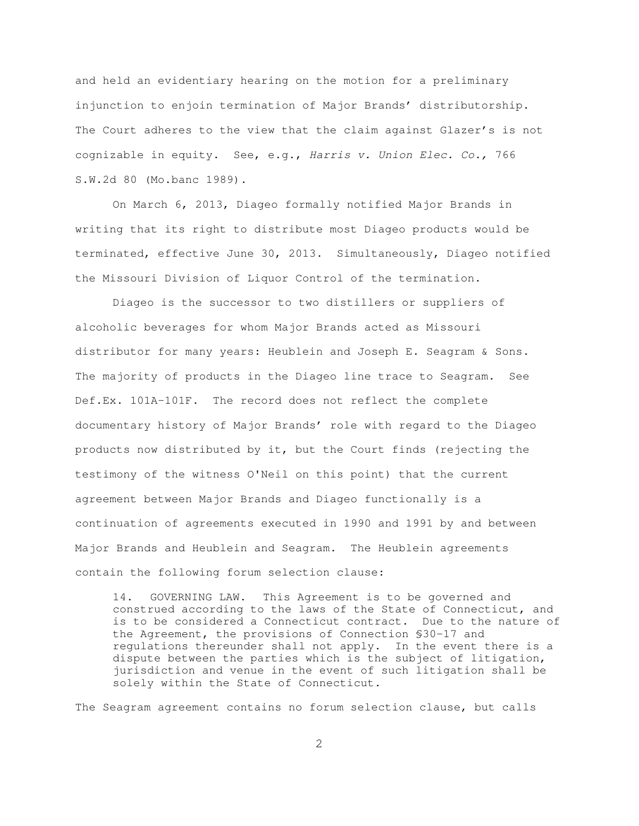and held an evidentiary hearing on the motion for a preliminary injunction to enjoin termination of Major Brands' distributorship. The Court adheres to the view that the claim against Glazer's is not cognizable in equity. See, e.g., Harris v. Union Elec. Co., 766 S.W.2d 80 (Mo.banc 1989).

On March 6, 2013, Diageo formally notified Major Brands in writing that its right to distribute most Diageo products would be terminated, effective June 30, 2013. Simultaneously, Diageo notified the Missouri Division of Liquor Control of the termination.

Diageo is the successor to two distillers or suppliers of alcoholic beverages for whom Major Brands acted as Missouri distributor for many years: Heublein and Joseph E. Seagram & Sons. The majority of products in the Diageo line trace to Seagram. See Def.Ex. 101A-101F. The record does not reflect the complete documentary history of Major Brands' role with regard to the Diageo products now distributed by it, but the Court finds (rejecting the testimony of the witness O'Neil on this point) that the current agreement between Major Brands and Diageo functionally is a continuation of agreements executed in 1990 and 1991 by and between Major Brands and Heublein and Seagram. The Heublein agreements contain the following forum selection clause:

14. GOVERNING LAW. This Agreement is to be governed and construed according to the laws of the State of Connecticut, and is to be considered a Connecticut contract. Due to the nature of the Agreement, the provisions of Connection §30-17 and regulations thereunder shall not apply. In the event there is a dispute between the parties which is the subject of litigation, jurisdiction and venue in the event of such litigation shall be solely within the State of Connecticut.

The Seagram agreement contains no forum selection clause, but calls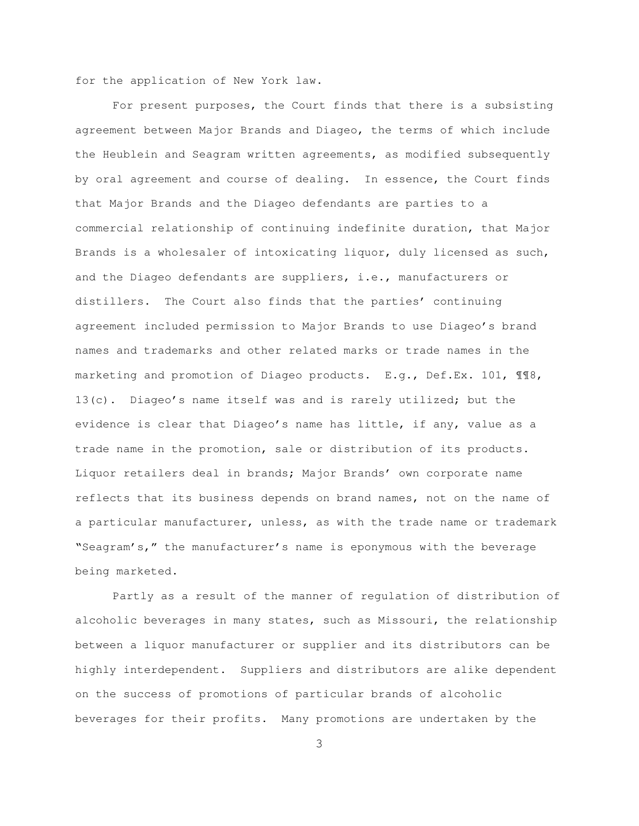for the application of New York law.

For present purposes, the Court finds that there is a subsisting agreement between Major Brands and Diageo, the terms of which include the Heublein and Seagram written agreements, as modified subsequently by oral agreement and course of dealing. In essence, the Court finds that Major Brands and the Diageo defendants are parties to a commercial relationship of continuing indefinite duration, that Major Brands is a wholesaler of intoxicating liquor, duly licensed as such, and the Diageo defendants are suppliers, i.e., manufacturers or distillers. The Court also finds that the parties' continuing agreement included permission to Major Brands to use Diageo's brand names and trademarks and other related marks or trade names in the marketing and promotion of Diageo products. E.g., Def.Ex. 101, ¶¶8, 13(c). Diageo's name itself was and is rarely utilized; but the evidence is clear that Diageo's name has little, if any, value as a trade name in the promotion, sale or distribution of its products. Liquor retailers deal in brands; Major Brands' own corporate name reflects that its business depends on brand names, not on the name of a particular manufacturer, unless, as with the trade name or trademark "Seagram's," the manufacturer's name is eponymous with the beverage being marketed.

Partly as a result of the manner of regulation of distribution of alcoholic beverages in many states, such as Missouri, the relationship between a liquor manufacturer or supplier and its distributors can be highly interdependent. Suppliers and distributors are alike dependent on the success of promotions of particular brands of alcoholic beverages for their profits. Many promotions are undertaken by the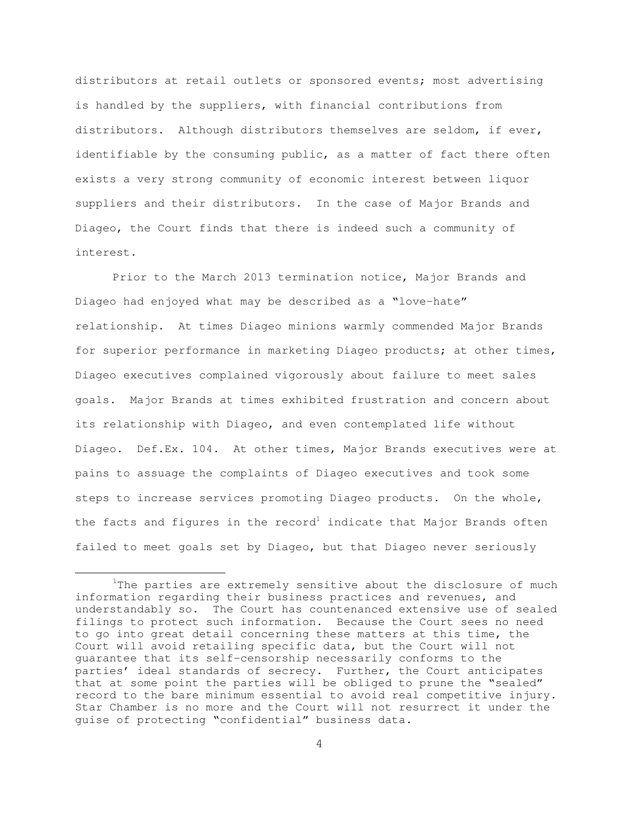distributors at retail outlets or sponsored events; most advertising is handled by the suppliers, with financial contributions from distributors. Although distributors themselves are seldom, if ever, identifiable by the consuming public, as a matter of fact there often exists a very strong community of economic interest between liquor suppliers and their distributors. In the case of Major Brands and Diageo, the Court finds that there is indeed such a community of interest.

Prior to the March 2013 termination notice, Major Brands and Diageo had enjoyed what may be described as a "love-hate" relationship. At times Diageo minions warmly commended Major Brands for superior performance in marketing Diageo products; at other times, Diageo executives complained vigorously about failure to meet sales goals. Major Brands at times exhibited frustration and concern about its relationship with Diageo, and even contemplated life without Diageo. Def.Ex. 104. At other times, Major Brands executives were at pains to assuage the complaints of Diageo executives and took some steps to increase services promoting Diageo products. On the whole, the facts and figures in the record $^{\rm l}$  indicate that Major Brands often failed to meet goals set by Diageo, but that Diageo never seriously

<sup>&</sup>lt;u>1</u>  $1$ The parties are extremely sensitive about the disclosure of much information regarding their business practices and revenues, and understandably so. The Court has countenanced extensive use of sealed filings to protect such information. Because the Court sees no need to go into great detail concerning these matters at this time, the Court will avoid retailing specific data, but the Court will not guarantee that its self-censorship necessarily conforms to the parties' ideal standards of secrecy. Further, the Court anticipates that at some point the parties will be obliged to prune the "sealed" record to the bare minimum essential to avoid real competitive injury. Star Chamber is no more and the Court will not resurrect it under the guise of protecting "confidential" business data.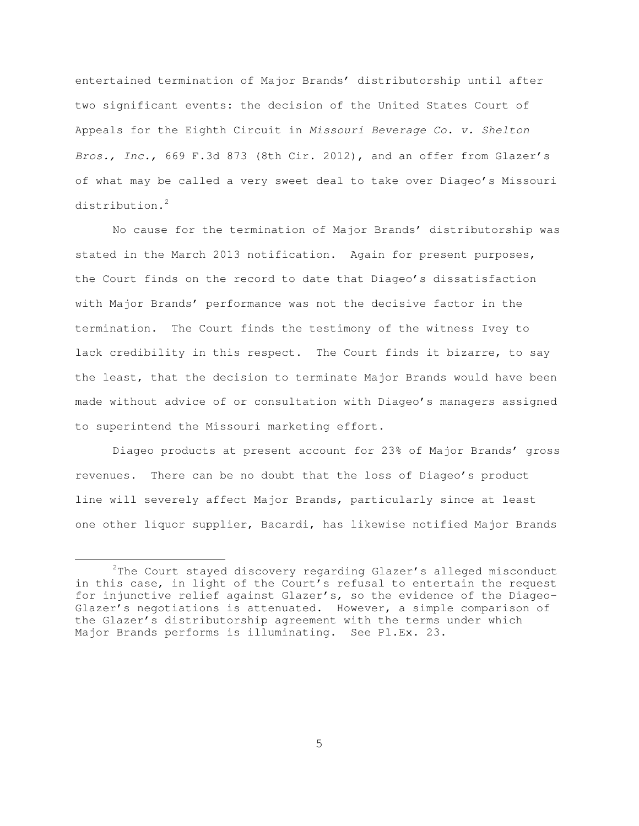entertained termination of Major Brands' distributorship until after two significant events: the decision of the United States Court of Appeals for the Eighth Circuit in Missouri Beverage Co. v. Shelton Bros., Inc., 669 F.3d 873 (8th Cir. 2012), and an offer from Glazer's of what may be called a very sweet deal to take over Diageo's Missouri distribution.<sup>2</sup>

No cause for the termination of Major Brands' distributorship was stated in the March 2013 notification. Again for present purposes, the Court finds on the record to date that Diageo's dissatisfaction with Major Brands' performance was not the decisive factor in the termination. The Court finds the testimony of the witness Ivey to lack credibility in this respect. The Court finds it bizarre, to say the least, that the decision to terminate Major Brands would have been made without advice of or consultation with Diageo's managers assigned to superintend the Missouri marketing effort.

Diageo products at present account for 23% of Major Brands' gross revenues. There can be no doubt that the loss of Diageo's product line will severely affect Major Brands, particularly since at least one other liquor supplier, Bacardi, has likewise notified Major Brands

 $\frac{1}{2}$  $2$ The Court stayed discovery regarding Glazer's alleged misconduct in this case, in light of the Court's refusal to entertain the request for injunctive relief against Glazer's, so the evidence of the Diageo-Glazer's negotiations is attenuated. However, a simple comparison of the Glazer's distributorship agreement with the terms under which Major Brands performs is illuminating. See Pl.Ex. 23.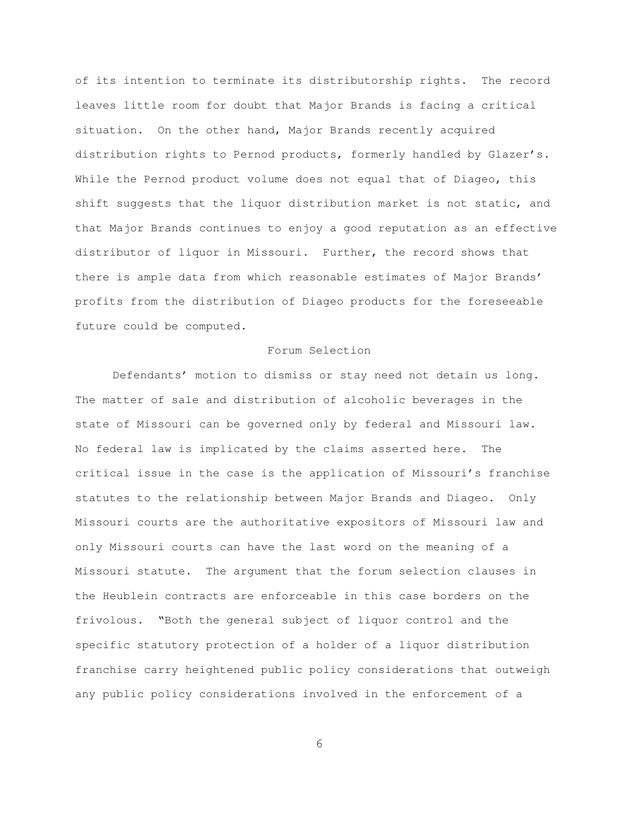of its intention to terminate its distributorship rights. The record leaves little room for doubt that Major Brands is facing a critical situation. On the other hand, Major Brands recently acquired distribution rights to Pernod products, formerly handled by Glazer's. While the Pernod product volume does not equal that of Diageo, this shift suggests that the liquor distribution market is not static, and that Major Brands continues to enjoy a good reputation as an effective distributor of liquor in Missouri. Further, the record shows that there is ample data from which reasonable estimates of Major Brands' profits from the distribution of Diageo products for the foreseeable future could be computed.

## Forum Selection

Defendants' motion to dismiss or stay need not detain us long. The matter of sale and distribution of alcoholic beverages in the state of Missouri can be governed only by federal and Missouri law. No federal law is implicated by the claims asserted here. The critical issue in the case is the application of Missouri's franchise statutes to the relationship between Major Brands and Diageo. Only Missouri courts are the authoritative expositors of Missouri law and only Missouri courts can have the last word on the meaning of a Missouri statute. The argument that the forum selection clauses in the Heublein contracts are enforceable in this case borders on the frivolous. "Both the general subject of liquor control and the specific statutory protection of a holder of a liquor distribution franchise carry heightened public policy considerations that outweigh any public policy considerations involved in the enforcement of a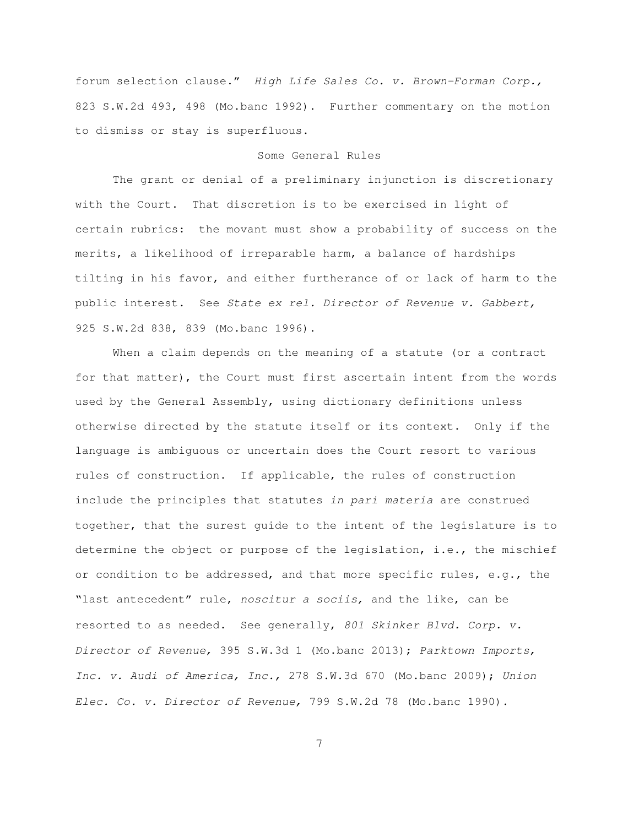forum selection clause." High Life Sales Co. v. Brown-Forman Corp., 823 S.W.2d 493, 498 (Mo.banc 1992). Further commentary on the motion to dismiss or stay is superfluous.

## Some General Rules

The grant or denial of a preliminary injunction is discretionary with the Court. That discretion is to be exercised in light of certain rubrics: the movant must show a probability of success on the merits, a likelihood of irreparable harm, a balance of hardships tilting in his favor, and either furtherance of or lack of harm to the public interest. See State ex rel. Director of Revenue v. Gabbert, 925 S.W.2d 838, 839 (Mo.banc 1996).

When a claim depends on the meaning of a statute (or a contract for that matter), the Court must first ascertain intent from the words used by the General Assembly, using dictionary definitions unless otherwise directed by the statute itself or its context. Only if the language is ambiguous or uncertain does the Court resort to various rules of construction. If applicable, the rules of construction include the principles that statutes in pari materia are construed together, that the surest guide to the intent of the legislature is to determine the object or purpose of the legislation, i.e., the mischief or condition to be addressed, and that more specific rules, e.g., the "last antecedent" rule, noscitur a sociis, and the like, can be resorted to as needed. See generally, 801 Skinker Blvd. Corp. v. Director of Revenue, 395 S.W.3d 1 (Mo.banc 2013); Parktown Imports, Inc. v. Audi of America, Inc., 278 S.W.3d 670 (Mo.banc 2009); Union Elec. Co. v. Director of Revenue, 799 S.W.2d 78 (Mo.banc 1990).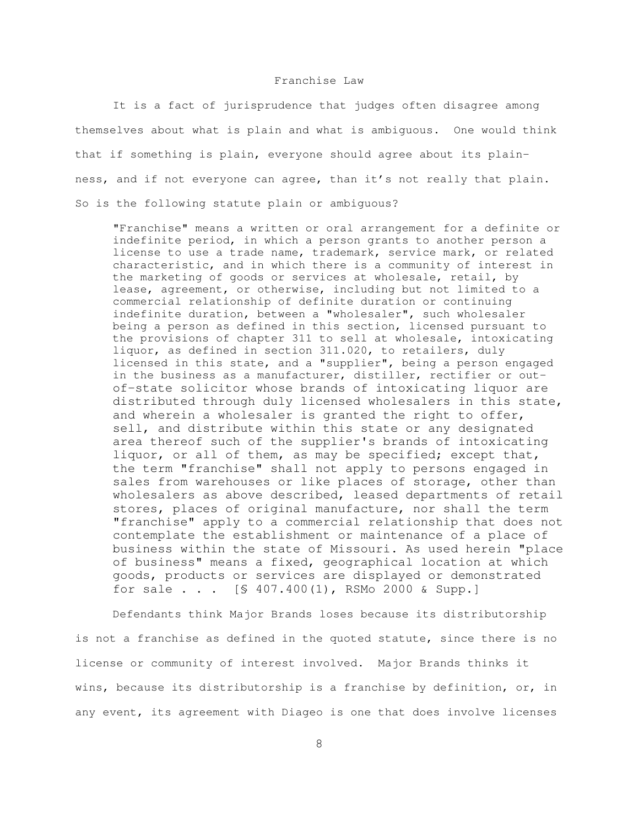### Franchise Law

It is a fact of jurisprudence that judges often disagree among themselves about what is plain and what is ambiguous. One would think that if something is plain, everyone should agree about its plainness, and if not everyone can agree, than it's not really that plain. So is the following statute plain or ambiguous?

"Franchise" means a written or oral arrangement for a definite or indefinite period, in which a person grants to another person a license to use a trade name, trademark, service mark, or related characteristic, and in which there is a community of interest in the marketing of goods or services at wholesale, retail, by lease, agreement, or otherwise, including but not limited to a commercial relationship of definite duration or continuing indefinite duration, between a "wholesaler", such wholesaler being a person as defined in this section, licensed pursuant to the provisions of chapter 311 to sell at wholesale, intoxicating liquor, as defined in section 311.020, to retailers, duly licensed in this state, and a "supplier", being a person engaged in the business as a manufacturer, distiller, rectifier or outof-state solicitor whose brands of intoxicating liquor are distributed through duly licensed wholesalers in this state, and wherein a wholesaler is granted the right to offer, sell, and distribute within this state or any designated area thereof such of the supplier's brands of intoxicating liquor, or all of them, as may be specified; except that, the term "franchise" shall not apply to persons engaged in sales from warehouses or like places of storage, other than wholesalers as above described, leased departments of retail stores, places of original manufacture, nor shall the term "franchise" apply to a commercial relationship that does not contemplate the establishment or maintenance of a place of business within the state of Missouri. As used herein "place of business" means a fixed, geographical location at which goods, products or services are displayed or demonstrated for sale . . . [§ 407.400(1), RSMo 2000 & Supp.]

Defendants think Major Brands loses because its distributorship is not a franchise as defined in the quoted statute, since there is no license or community of interest involved. Major Brands thinks it wins, because its distributorship is a franchise by definition, or, in any event, its agreement with Diageo is one that does involve licenses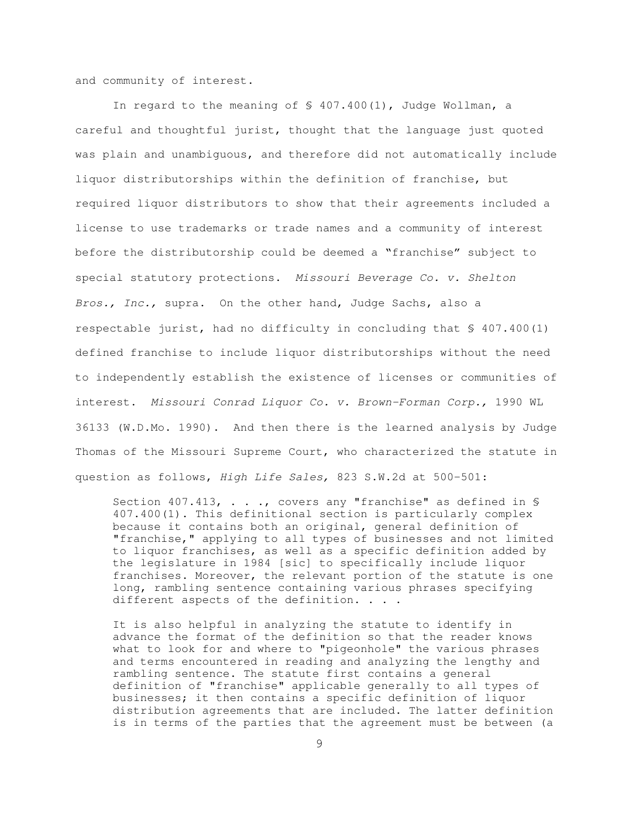and community of interest.

In regard to the meaning of § 407.400(1), Judge Wollman, a careful and thoughtful jurist, thought that the language just quoted was plain and unambiguous, and therefore did not automatically include liquor distributorships within the definition of franchise, but required liquor distributors to show that their agreements included a license to use trademarks or trade names and a community of interest before the distributorship could be deemed a "franchise" subject to special statutory protections. Missouri Beverage Co. v. Shelton Bros., Inc., supra. On the other hand, Judge Sachs, also a respectable jurist, had no difficulty in concluding that § 407.400(1) defined franchise to include liquor distributorships without the need to independently establish the existence of licenses or communities of interest. Missouri Conrad Liquor Co. v. Brown-Forman Corp., 1990 WL 36133 (W.D.Mo. 1990). And then there is the learned analysis by Judge Thomas of the Missouri Supreme Court, who characterized the statute in question as follows, High Life Sales, 823 S.W.2d at 500-501:

Section 407.413, . . ., covers any "franchise" as defined in \$ 407.400(1). This definitional section is particularly complex because it contains both an original, general definition of "franchise," applying to all types of businesses and not limited to liquor franchises, as well as a specific definition added by the legislature in 1984 [sic] to specifically include liquor franchises. Moreover, the relevant portion of the statute is one long, rambling sentence containing various phrases specifying different aspects of the definition. . . .

It is also helpful in analyzing the statute to identify in advance the format of the definition so that the reader knows what to look for and where to "pigeonhole" the various phrases and terms encountered in reading and analyzing the lengthy and rambling sentence. The statute first contains a general definition of "franchise" applicable generally to all types of businesses; it then contains a specific definition of liquor distribution agreements that are included. The latter definition is in terms of the parties that the agreement must be between (a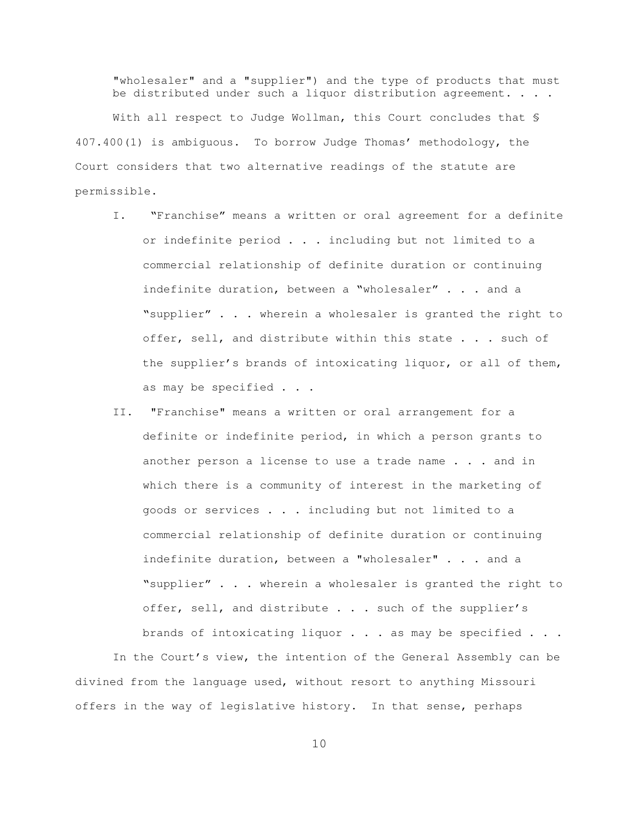"wholesaler" and a "supplier") and the type of products that must be distributed under such a liquor distribution agreement. . . .

With all respect to Judge Wollman, this Court concludes that § 407.400(1) is ambiguous. To borrow Judge Thomas' methodology, the Court considers that two alternative readings of the statute are permissible.

- I. "Franchise" means a written or oral agreement for a definite or indefinite period . . . including but not limited to a commercial relationship of definite duration or continuing indefinite duration, between a "wholesaler" . . . and a "supplier" . . . wherein a wholesaler is granted the right to offer, sell, and distribute within this state . . . such of the supplier's brands of intoxicating liquor, or all of them, as may be specified . . .
- II. "Franchise" means a written or oral arrangement for a definite or indefinite period, in which a person grants to another person a license to use a trade name . . . and in which there is a community of interest in the marketing of goods or services . . . including but not limited to a commercial relationship of definite duration or continuing indefinite duration, between a "wholesaler" . . . and a "supplier" . . . wherein a wholesaler is granted the right to offer, sell, and distribute . . . such of the supplier's brands of intoxicating liquor . . . as may be specified . . .

In the Court's view, the intention of the General Assembly can be divined from the language used, without resort to anything Missouri offers in the way of legislative history. In that sense, perhaps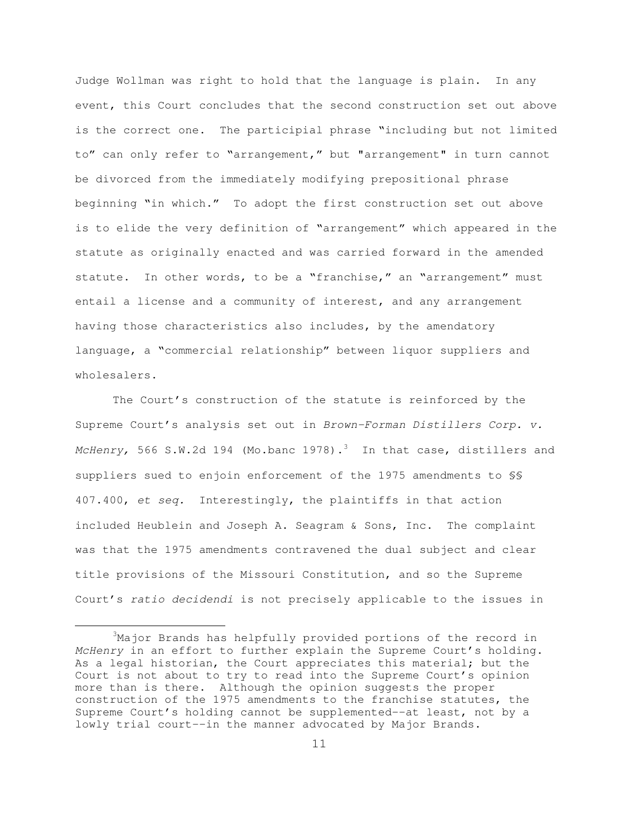Judge Wollman was right to hold that the language is plain. In any event, this Court concludes that the second construction set out above is the correct one. The participial phrase "including but not limited to" can only refer to "arrangement," but "arrangement" in turn cannot be divorced from the immediately modifying prepositional phrase beginning "in which." To adopt the first construction set out above is to elide the very definition of "arrangement" which appeared in the statute as originally enacted and was carried forward in the amended statute. In other words, to be a "franchise," an "arrangement" must entail a license and a community of interest, and any arrangement having those characteristics also includes, by the amendatory language, a "commercial relationship" between liquor suppliers and wholesalers.

The Court's construction of the statute is reinforced by the Supreme Court's analysis set out in Brown-Forman Distillers Corp. v. McHenry, 566 S.W.2d 194 (Mo.banc 1978). $^3$  In that case, distillers and suppliers sued to enjoin enforcement of the 1975 amendments to §§ 407.400, et seq. Interestingly, the plaintiffs in that action included Heublein and Joseph A. Seagram & Sons, Inc. The complaint was that the 1975 amendments contravened the dual subject and clear title provisions of the Missouri Constitution, and so the Supreme Court's ratio decidendi is not precisely applicable to the issues in

 $\frac{1}{3}$  $3$ Major Brands has helpfully provided portions of the record in McHenry in an effort to further explain the Supreme Court's holding. As a legal historian, the Court appreciates this material; but the Court is not about to try to read into the Supreme Court's opinion more than is there. Although the opinion suggests the proper construction of the 1975 amendments to the franchise statutes, the Supreme Court's holding cannot be supplemented--at least, not by a lowly trial court--in the manner advocated by Major Brands.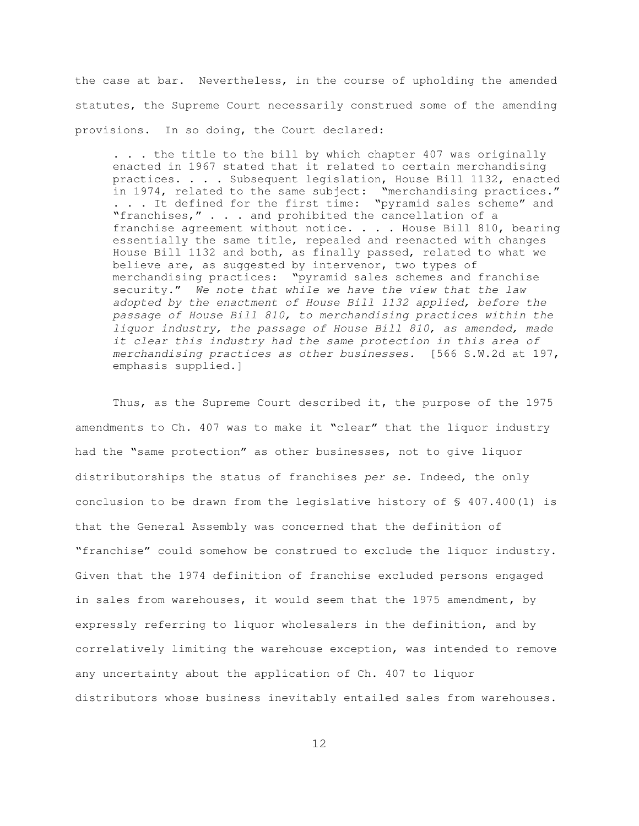the case at bar. Nevertheless, in the course of upholding the amended statutes, the Supreme Court necessarily construed some of the amending provisions. In so doing, the Court declared:

. . . the title to the bill by which chapter 407 was originally enacted in 1967 stated that it related to certain merchandising practices. . . . Subsequent legislation, House Bill 1132, enacted in 1974, related to the same subject: "merchandising practices." ... It defined for the first time: "pyramid sales scheme" and "franchises," . . . and prohibited the cancellation of a franchise agreement without notice. . . . House Bill 810, bearing essentially the same title, repealed and reenacted with changes House Bill 1132 and both, as finally passed, related to what we believe are, as suggested by intervenor, two types of merchandising practices: "pyramid sales schemes and franchise security." We note that while we have the view that the law adopted by the enactment of House Bill 1132 applied, before the passage of House Bill 810, to merchandising practices within the liquor industry, the passage of House Bill 810, as amended, made it clear this industry had the same protection in this area of merchandising practices as other businesses. [566 S.W.2d at 197, emphasis supplied.]

Thus, as the Supreme Court described it, the purpose of the 1975 amendments to Ch. 407 was to make it "clear" that the liquor industry had the "same protection" as other businesses, not to give liquor distributorships the status of franchises per se. Indeed, the only conclusion to be drawn from the legislative history of § 407.400(1) is that the General Assembly was concerned that the definition of "franchise" could somehow be construed to exclude the liquor industry. Given that the 1974 definition of franchise excluded persons engaged in sales from warehouses, it would seem that the 1975 amendment, by expressly referring to liquor wholesalers in the definition, and by correlatively limiting the warehouse exception, was intended to remove any uncertainty about the application of Ch. 407 to liquor distributors whose business inevitably entailed sales from warehouses.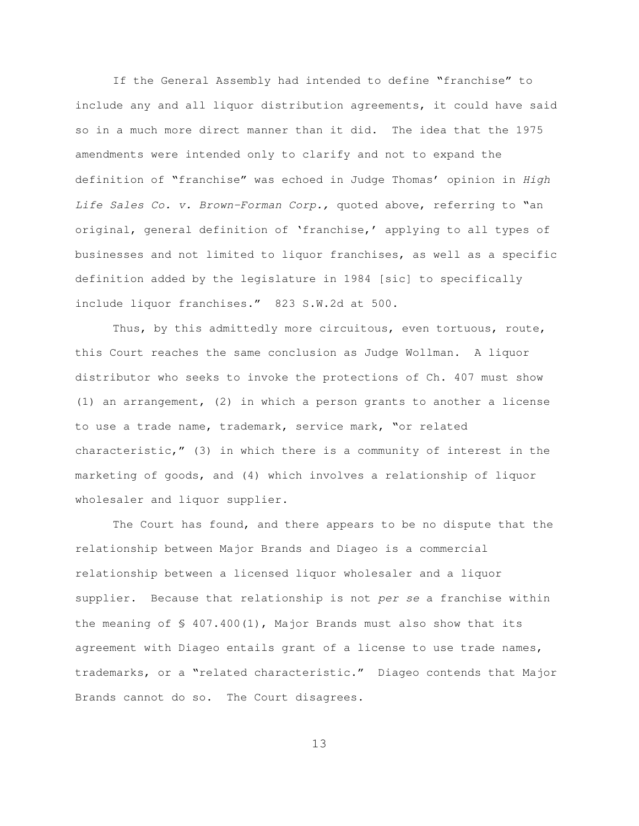If the General Assembly had intended to define "franchise" to include any and all liquor distribution agreements, it could have said so in a much more direct manner than it did. The idea that the 1975 amendments were intended only to clarify and not to expand the definition of "franchise" was echoed in Judge Thomas' opinion in High Life Sales Co. v. Brown-Forman Corp., quoted above, referring to "an original, general definition of 'franchise,' applying to all types of businesses and not limited to liquor franchises, as well as a specific definition added by the legislature in 1984 [sic] to specifically include liquor franchises." 823 S.W.2d at 500.

Thus, by this admittedly more circuitous, even tortuous, route, this Court reaches the same conclusion as Judge Wollman. A liquor distributor who seeks to invoke the protections of Ch. 407 must show (1) an arrangement, (2) in which a person grants to another a license to use a trade name, trademark, service mark, "or related characteristic," (3) in which there is a community of interest in the marketing of goods, and (4) which involves a relationship of liquor wholesaler and liquor supplier.

The Court has found, and there appears to be no dispute that the relationship between Major Brands and Diageo is a commercial relationship between a licensed liquor wholesaler and a liquor supplier. Because that relationship is not per se a franchise within the meaning of  $\frac{1}{5}$  407.400(1), Major Brands must also show that its agreement with Diageo entails grant of a license to use trade names, trademarks, or a "related characteristic." Diageo contends that Major Brands cannot do so. The Court disagrees.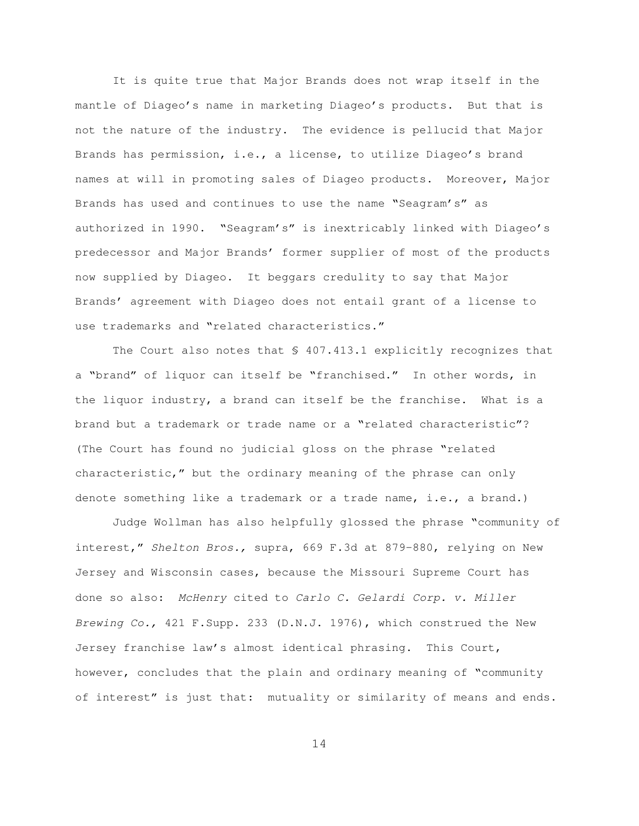It is quite true that Major Brands does not wrap itself in the mantle of Diageo's name in marketing Diageo's products. But that is not the nature of the industry. The evidence is pellucid that Major Brands has permission, i.e., a license, to utilize Diageo's brand names at will in promoting sales of Diageo products. Moreover, Major Brands has used and continues to use the name "Seagram's" as authorized in 1990. "Seagram's" is inextricably linked with Diageo's predecessor and Major Brands' former supplier of most of the products now supplied by Diageo. It beggars credulity to say that Major Brands' agreement with Diageo does not entail grant of a license to use trademarks and "related characteristics."

The Court also notes that § 407.413.1 explicitly recognizes that a "brand" of liquor can itself be "franchised." In other words, in the liquor industry, a brand can itself be the franchise. What is a brand but a trademark or trade name or a "related characteristic"? (The Court has found no judicial gloss on the phrase "related characteristic," but the ordinary meaning of the phrase can only denote something like a trademark or a trade name, i.e., a brand.)

Judge Wollman has also helpfully glossed the phrase "community of interest," Shelton Bros., supra, 669 F.3d at 879-880, relying on New Jersey and Wisconsin cases, because the Missouri Supreme Court has done so also: McHenry cited to Carlo C. Gelardi Corp. v. Miller Brewing Co., 421 F.Supp. 233 (D.N.J. 1976), which construed the New Jersey franchise law's almost identical phrasing. This Court, however, concludes that the plain and ordinary meaning of "community of interest" is just that: mutuality or similarity of means and ends.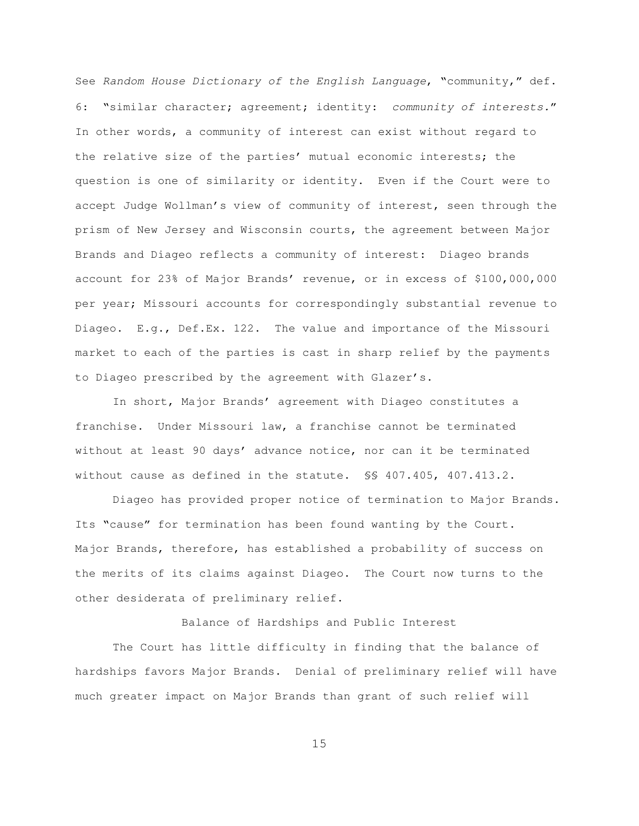See Random House Dictionary of the English Language, "community," def. 6: "similar character; agreement; identity: community of interests." In other words, a community of interest can exist without regard to the relative size of the parties' mutual economic interests; the question is one of similarity or identity. Even if the Court were to accept Judge Wollman's view of community of interest, seen through the prism of New Jersey and Wisconsin courts, the agreement between Major Brands and Diageo reflects a community of interest: Diageo brands account for 23% of Major Brands' revenue, or in excess of \$100,000,000 per year; Missouri accounts for correspondingly substantial revenue to Diageo. E.g., Def.Ex. 122. The value and importance of the Missouri market to each of the parties is cast in sharp relief by the payments to Diageo prescribed by the agreement with Glazer's.

In short, Major Brands' agreement with Diageo constitutes a franchise. Under Missouri law, a franchise cannot be terminated without at least 90 days' advance notice, nor can it be terminated without cause as defined in the statute. §§ 407.405, 407.413.2.

Diageo has provided proper notice of termination to Major Brands. Its "cause" for termination has been found wanting by the Court. Major Brands, therefore, has established a probability of success on the merits of its claims against Diageo. The Court now turns to the other desiderata of preliminary relief.

Balance of Hardships and Public Interest

The Court has little difficulty in finding that the balance of hardships favors Major Brands. Denial of preliminary relief will have much greater impact on Major Brands than grant of such relief will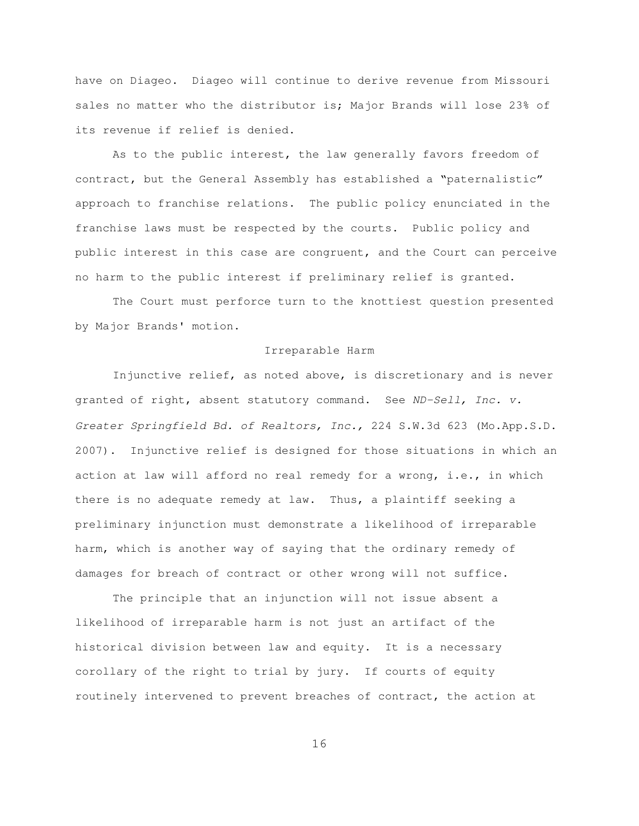have on Diageo. Diageo will continue to derive revenue from Missouri sales no matter who the distributor is; Major Brands will lose 23% of its revenue if relief is denied.

As to the public interest, the law generally favors freedom of contract, but the General Assembly has established a "paternalistic" approach to franchise relations. The public policy enunciated in the franchise laws must be respected by the courts. Public policy and public interest in this case are congruent, and the Court can perceive no harm to the public interest if preliminary relief is granted.

The Court must perforce turn to the knottiest question presented by Major Brands' motion.

## Irreparable Harm

Injunctive relief, as noted above, is discretionary and is never granted of right, absent statutory command. See ND-Sell, Inc. v. Greater Springfield Bd. of Realtors, Inc., 224 S.W.3d 623 (Mo.App.S.D. 2007). Injunctive relief is designed for those situations in which an action at law will afford no real remedy for a wrong, i.e., in which there is no adequate remedy at law. Thus, a plaintiff seeking a preliminary injunction must demonstrate a likelihood of irreparable harm, which is another way of saying that the ordinary remedy of damages for breach of contract or other wrong will not suffice.

The principle that an injunction will not issue absent a likelihood of irreparable harm is not just an artifact of the historical division between law and equity. It is a necessary corollary of the right to trial by jury. If courts of equity routinely intervened to prevent breaches of contract, the action at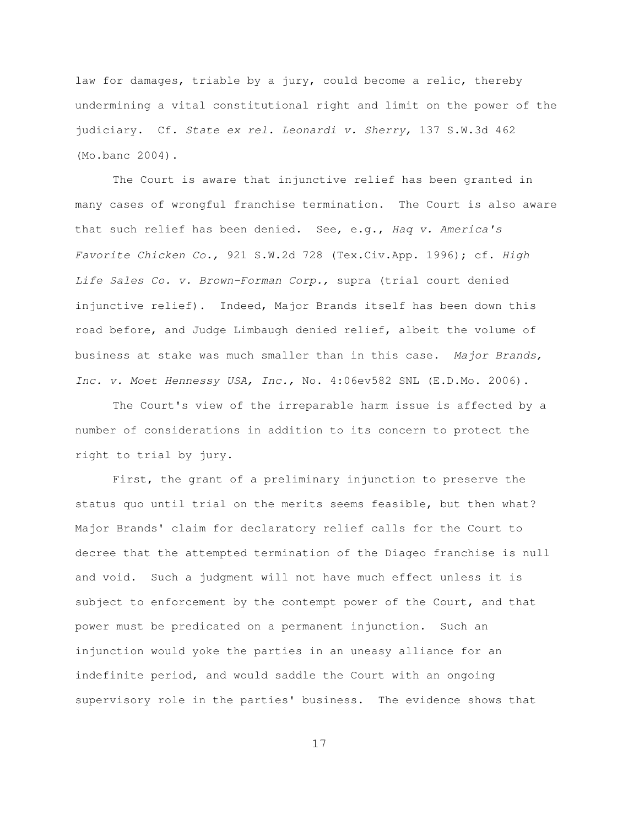law for damages, triable by a jury, could become a relic, thereby undermining a vital constitutional right and limit on the power of the judiciary. Cf. State ex rel. Leonardi v. Sherry, 137 S.W.3d 462 (Mo.banc 2004).

The Court is aware that injunctive relief has been granted in many cases of wrongful franchise termination. The Court is also aware that such relief has been denied. See, e.g., Haq v. America's Favorite Chicken Co., 921 S.W.2d 728 (Tex.Civ.App. 1996); cf. High Life Sales Co. v. Brown-Forman Corp., supra (trial court denied injunctive relief). Indeed, Major Brands itself has been down this road before, and Judge Limbaugh denied relief, albeit the volume of business at stake was much smaller than in this case. Major Brands, Inc. v. Moet Hennessy USA, Inc., No. 4:06ev582 SNL (E.D.Mo. 2006).

The Court's view of the irreparable harm issue is affected by a number of considerations in addition to its concern to protect the right to trial by jury.

First, the grant of a preliminary injunction to preserve the status quo until trial on the merits seems feasible, but then what? Major Brands' claim for declaratory relief calls for the Court to decree that the attempted termination of the Diageo franchise is null and void. Such a judgment will not have much effect unless it is subject to enforcement by the contempt power of the Court, and that power must be predicated on a permanent injunction. Such an injunction would yoke the parties in an uneasy alliance for an indefinite period, and would saddle the Court with an ongoing supervisory role in the parties' business. The evidence shows that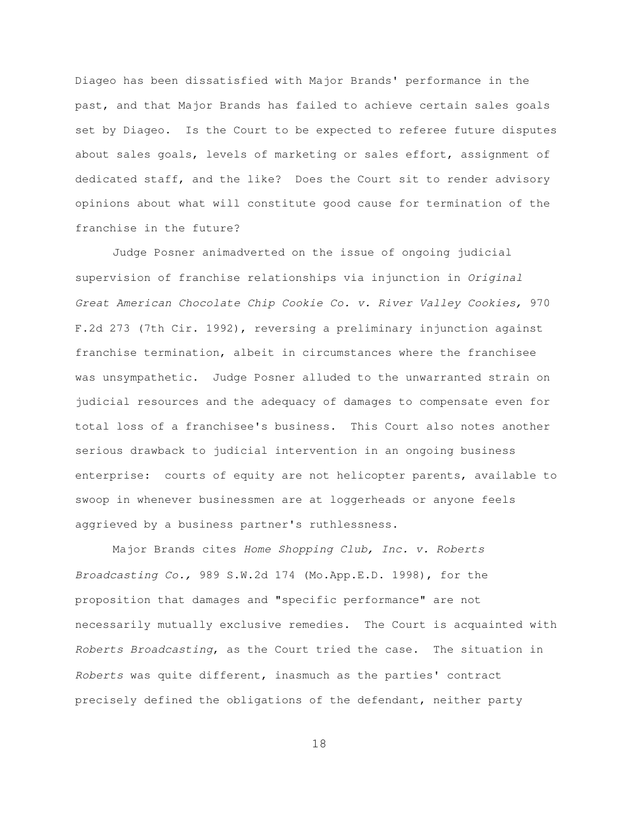Diageo has been dissatisfied with Major Brands' performance in the past, and that Major Brands has failed to achieve certain sales goals set by Diageo. Is the Court to be expected to referee future disputes about sales goals, levels of marketing or sales effort, assignment of dedicated staff, and the like? Does the Court sit to render advisory opinions about what will constitute good cause for termination of the franchise in the future?

Judge Posner animadverted on the issue of ongoing judicial supervision of franchise relationships via injunction in Original Great American Chocolate Chip Cookie Co. v. River Valley Cookies, 970 F.2d 273 (7th Cir. 1992), reversing a preliminary injunction against franchise termination, albeit in circumstances where the franchisee was unsympathetic. Judge Posner alluded to the unwarranted strain on judicial resources and the adequacy of damages to compensate even for total loss of a franchisee's business. This Court also notes another serious drawback to judicial intervention in an ongoing business enterprise: courts of equity are not helicopter parents, available to swoop in whenever businessmen are at loggerheads or anyone feels aggrieved by a business partner's ruthlessness.

Major Brands cites Home Shopping Club, Inc. v. Roberts Broadcasting Co., 989 S.W.2d 174 (Mo.App.E.D. 1998), for the proposition that damages and "specific performance" are not necessarily mutually exclusive remedies. The Court is acquainted with Roberts Broadcasting, as the Court tried the case. The situation in Roberts was quite different, inasmuch as the parties' contract precisely defined the obligations of the defendant, neither party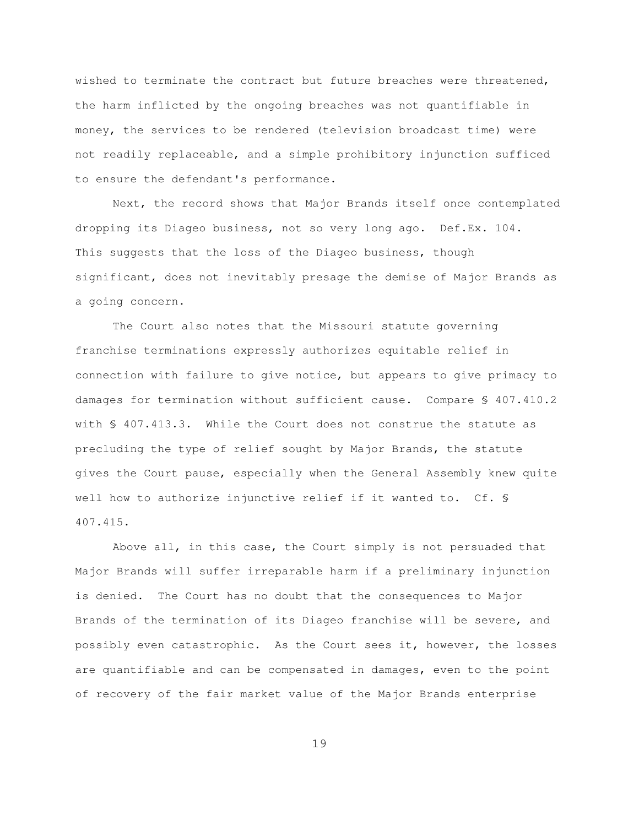wished to terminate the contract but future breaches were threatened, the harm inflicted by the ongoing breaches was not quantifiable in money, the services to be rendered (television broadcast time) were not readily replaceable, and a simple prohibitory injunction sufficed to ensure the defendant's performance.

Next, the record shows that Major Brands itself once contemplated dropping its Diageo business, not so very long ago. Def.Ex. 104. This suggests that the loss of the Diageo business, though significant, does not inevitably presage the demise of Major Brands as a going concern.

The Court also notes that the Missouri statute governing franchise terminations expressly authorizes equitable relief in connection with failure to give notice, but appears to give primacy to damages for termination without sufficient cause. Compare § 407.410.2 with § 407.413.3. While the Court does not construe the statute as precluding the type of relief sought by Major Brands, the statute gives the Court pause, especially when the General Assembly knew quite well how to authorize injunctive relief if it wanted to. Cf. § 407.415.

Above all, in this case, the Court simply is not persuaded that Major Brands will suffer irreparable harm if a preliminary injunction is denied. The Court has no doubt that the consequences to Major Brands of the termination of its Diageo franchise will be severe, and possibly even catastrophic. As the Court sees it, however, the losses are quantifiable and can be compensated in damages, even to the point of recovery of the fair market value of the Major Brands enterprise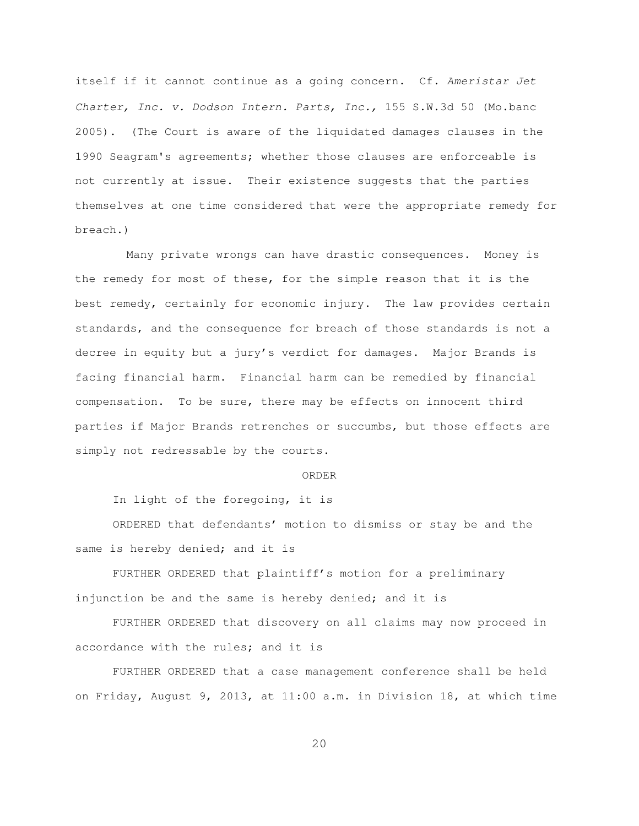itself if it cannot continue as a going concern. Cf. Ameristar Jet Charter, Inc. v. Dodson Intern. Parts, Inc., 155 S.W.3d 50 (Mo.banc 2005). (The Court is aware of the liquidated damages clauses in the 1990 Seagram's agreements; whether those clauses are enforceable is not currently at issue. Their existence suggests that the parties themselves at one time considered that were the appropriate remedy for breach.)

 Many private wrongs can have drastic consequences. Money is the remedy for most of these, for the simple reason that it is the best remedy, certainly for economic injury. The law provides certain standards, and the consequence for breach of those standards is not a decree in equity but a jury's verdict for damages. Major Brands is facing financial harm. Financial harm can be remedied by financial compensation. To be sure, there may be effects on innocent third parties if Major Brands retrenches or succumbs, but those effects are simply not redressable by the courts.

### ORDER

In light of the foregoing, it is

ORDERED that defendants' motion to dismiss or stay be and the same is hereby denied; and it is

FURTHER ORDERED that plaintiff's motion for a preliminary injunction be and the same is hereby denied; and it is

FURTHER ORDERED that discovery on all claims may now proceed in accordance with the rules; and it is

FURTHER ORDERED that a case management conference shall be held on Friday, August 9, 2013, at 11:00 a.m. in Division 18, at which time